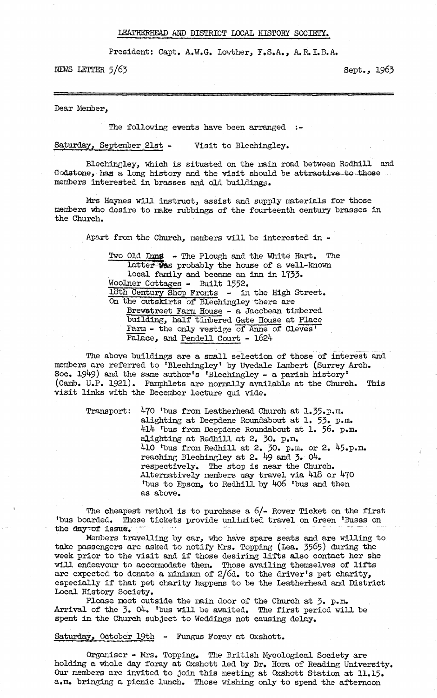## LEATHERHEAD AMD DISTRICT LOCAL HISTORY SOCIETY.

**President: Capt. A.W.G. Lowther, F.S.A,, A.R. I.B.A.**

**NEWS LETTER 5/63 Sept.,** 1963

**Dear Member,**

**The following events have been arranged**

**Saturday, September 21st - Visit to Blechingley.**

**Blechingley, which is situated on the main road between Redhill and** Godstone, has a long history and the visit should be attractive to those **members interested in brasses and old buildings.**

**Mrs Haynes will instruct, assist and supply materials for those members who desire to make rubbings of the fourteenth century brasses in the Church.**

**Apart from the Church, members will be interested in -**

Two Old Inns - The Plough and the White Hart. The latter was probably the house of a well-known **local family and became an inn in 1733. Woolner Cottages - Built 1552. ibth Century Shop Fronts - in the High Street. On the outskirts of Blechingley there axe Brewstreet Farm House - a Jacobean timbered building, half timbered Gate House at Place Farm - the only vestige of Anne of Cleves1 Palace, and Pendell Court - 1624**

**The above buildings are a small selection of those of interest and members are referred to 'Blechingley\* by Uvedale Lambert (Surrey Arch. Soc, 19^9) and the same author's 'Blechingley - a parish history' (Camb. U.P. 1921), Pamphlets are normally available at the Church. This visit links with the December lecture qui vide.**

Transport: 470 'bus from Leatherhead Church at 1.35.p.m. **alighting at Deepdene Roundabout at 1. 53. p.m. 4l4 'bus from Deepdene Roundabout at 1.** 56**. p.m. alighting at Redhill at 2. 30. p.m. 410 'bus from Redhill at 2. 30. p.m. or 2. 45.p.m. reaching Blechingley at 2. 49 and 3» 04. respectively. The stop is near the Church. Alternatively members may travel via 4l8 or 470 'bus to Epsom, to Redhill by 4o6 'bus and then as above.**

**The cheapest method is to purchase a 6/- Rover Ticket on the first 'bus boarded. These tickets provide unlimited travel on Green 'Buses on** the day of issue.

**Members travelling by car, who have spare seats and are willing to take passengers are asked to notify Mrs. Topping (Lea.** 3565**) during the week prior to the visit and if those desiring lifts also contact her she will endeavour to accommodate them. Those availing themselves of lifts are expected to donate a minimum of 2/6d. to the driver's pet charity, especially if that pet charity happens to be the Leatherhead and District Local History Society.**

**Please meet outside the main door of the Church at 3» p.m. Arrival of the 3\* 04, 'bus will be awaited. The first period will be spent in the Church subject to Weddings not causing delay.**

**Saturday, October 19th - Fungus Foray at Oxshott.**

**Organiser - Mrs. Topping, The British Mycological Society are holding a whole day foray at Gxshott led by Dr. Hora of Reading University. Our members are invited to join this meeting at Qxshott Station at 11,15, a.m. bringing a picnic lunch. Those wishing only to spend the afternoon**